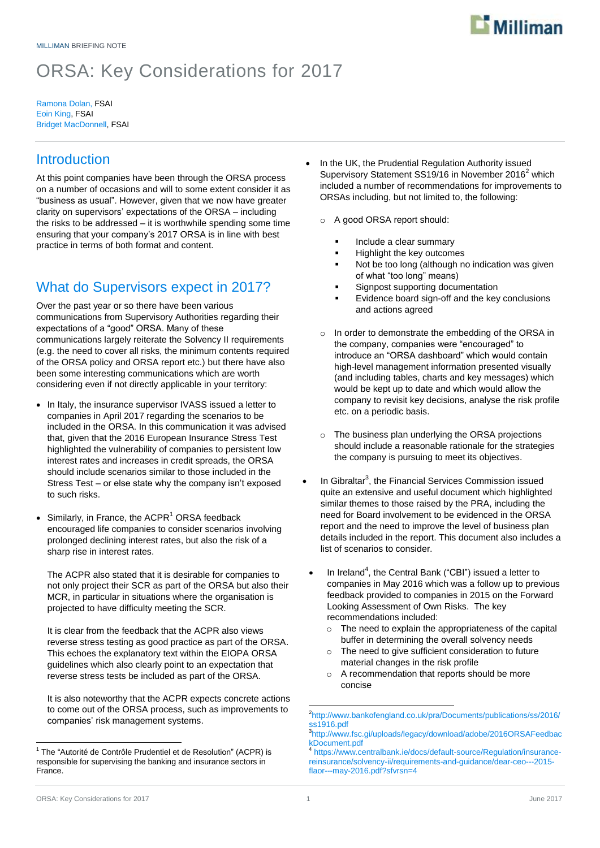

# ORSA: Key Considerations for 2017

Ramona Dolan, FSAI Eoin King, FSAI Bridget MacDonnell, FSAI

# **Introduction**

At this point companies have been through the ORSA process on a number of occasions and will to some extent consider it as "business as usual". However, given that we now have greater clarity on supervisors' expectations of the ORSA – including the risks to be addressed – it is worthwhile spending some time ensuring that your company's 2017 ORSA is in line with best practice in terms of both format and content.

# What do Supervisors expect in 2017?

Over the past year or so there have been various communications from Supervisory Authorities regarding their expectations of a "good" ORSA. Many of these communications largely reiterate the Solvency II requirements (e.g. the need to cover all risks, the minimum contents required of the ORSA policy and ORSA report etc.) but there have also been some interesting communications which are worth considering even if not directly applicable in your territory:

- In Italy, the insurance supervisor IVASS issued a letter to companies in April 2017 regarding the scenarios to be included in the ORSA. In this communication it was advised that, given that the 2016 European Insurance Stress Test highlighted the vulnerability of companies to persistent low interest rates and increases in credit spreads, the ORSA should include scenarios similar to those included in the Stress Test – or else state why the company isn't exposed to such risks.
- Similarly, in France, the ACPR $<sup>1</sup>$  ORSA feedback</sup> encouraged life companies to consider scenarios involving prolonged declining interest rates, but also the risk of a sharp rise in interest rates.

The ACPR also stated that it is desirable for companies to not only project their SCR as part of the ORSA but also their MCR, in particular in situations where the organisation is projected to have difficulty meeting the SCR.

It is clear from the feedback that the ACPR also views reverse stress testing as good practice as part of the ORSA. This echoes the explanatory text within the EIOPA ORSA guidelines which also clearly point to an expectation that reverse stress tests be included as part of the ORSA.

It is also noteworthy that the ACPR expects concrete actions to come out of the ORSA process, such as improvements to companies' risk management systems.

 In the UK, the Prudential Regulation Authority issued Supervisory Statement SS19/16 in November 2016<sup>2</sup> which included a number of recommendations for improvements to ORSAs including, but not limited to, the following:

o A good ORSA report should:

- Include a clear summary
- Highlight the key outcomes
- Not be too long (although no indication was given of what "too long" means)
- Signpost supporting documentation
- Evidence board sign-off and the key conclusions and actions agreed
- o In order to demonstrate the embedding of the ORSA in the company, companies were "encouraged" to introduce an "ORSA dashboard" which would contain high-level management information presented visually (and including tables, charts and key messages) which would be kept up to date and which would allow the company to revisit key decisions, analyse the risk profile etc. on a periodic basis.
- o The business plan underlying the ORSA projections should include a reasonable rationale for the strategies the company is pursuing to meet its objectives.
- $\bullet$  In Gibraltar<sup>3</sup>, the Financial Services Commission issued quite an extensive and useful document which highlighted similar themes to those raised by the PRA, including the need for Board involvement to be evidenced in the ORSA report and the need to improve the level of business plan details included in the report. This document also includes a list of scenarios to consider.
	- $\bullet$  In Ireland<sup>4</sup>, the Central Bank ("CBI") issued a letter to companies in May 2016 which was a follow up to previous feedback provided to companies in 2015 on the Forward Looking Assessment of Own Risks. The key recommendations included:
		- o The need to explain the appropriateness of the capital buffer in determining the overall solvency needs
		- o The need to give sufficient consideration to future material changes in the risk profile
		- o A recommendation that reports should be more concise

 1 The "Autorité de Contrôle Prudentiel et de Resolution" (ACPR) is responsible for supervising the banking and insurance sectors in France.

 2 [http://www.bankofengland.co.uk/pra/Documents/publications/ss/2016/](http://www.bankofengland.co.uk/pra/Documents/publications/ss/2016/ss1916.pdf) [ss1916.pdf](http://www.bankofengland.co.uk/pra/Documents/publications/ss/2016/ss1916.pdf)

<sup>3</sup> [http://www.fsc.gi/uploads/legacy/download/adobe/2016ORSAFeedbac](http://www.fsc.gi/uploads/legacy/download/adobe/2016ORSAFeedbackDocument.pdf) [kDocument.pdf](http://www.fsc.gi/uploads/legacy/download/adobe/2016ORSAFeedbackDocument.pdf) 4

[https://www.centralbank.ie/docs/default-source/Regulation/insurance](https://www.centralbank.ie/docs/default-source/Regulation/insurance-reinsurance/solvency-ii/requirements-and-guidance/dear-ceo---2015-flaor---may-2016.pdf?sfvrsn=4)[reinsurance/solvency-ii/requirements-and-guidance/dear-ceo---2015](https://www.centralbank.ie/docs/default-source/Regulation/insurance-reinsurance/solvency-ii/requirements-and-guidance/dear-ceo---2015-flaor---may-2016.pdf?sfvrsn=4) [flaor---may-2016.pdf?sfvrsn=4](https://www.centralbank.ie/docs/default-source/Regulation/insurance-reinsurance/solvency-ii/requirements-and-guidance/dear-ceo---2015-flaor---may-2016.pdf?sfvrsn=4)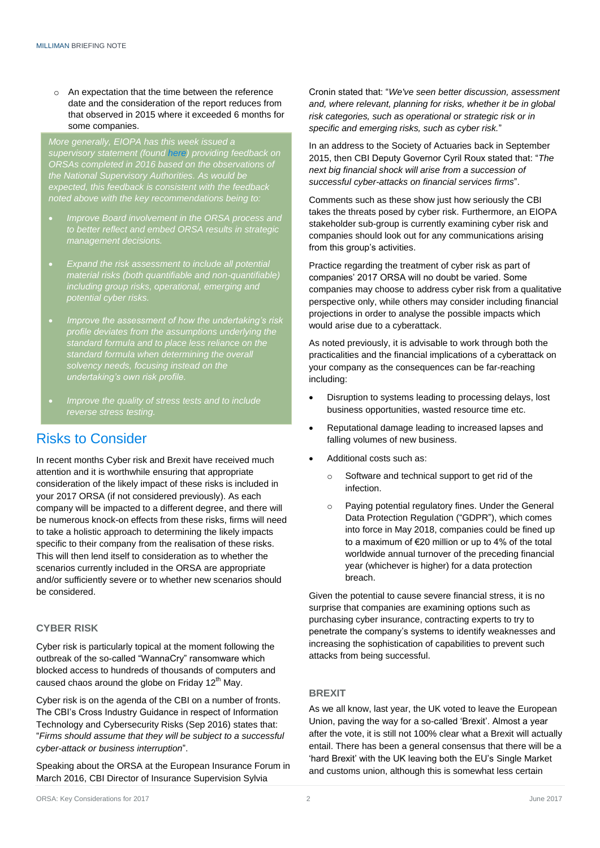o An expectation that the time between the reference date and the consideration of the report reduces from that observed in 2015 where it exceeded 6 months for some companies.

*More generally, EIOPA has this week issued a supervisory statement (found [here\)](https://eiopa.europa.eu/Publications/Supervisory%20Statements/EIOPA-BoS-17-097_ORSA_Supervisory__Statement.pdf) providing feedback on the National Supervisory Authorities. As would be expected, this feedback is consistent with the feedback noted above with the key recommendations being to:*

- *Improve Board involvement in the ORSA process and to better reflect and embed ORSA results in strategic management decisions.*
- *Expand the risk assessment to include all potential material risks (both quantifiable and non-quantifiable) including group risks, operational, emerging and potential cyber risks.*
- *Improve the assessment of how the undertaking's risk profile deviates from the assumptions underlying the standard formula when determining the overall solvency needs, focusing instead on the undertaking's own risk profile.*
- *Improve the quality of stress tests and to include reverse stress testing.*

# Risks to Consider

In recent months Cyber risk and Brexit have received much attention and it is worthwhile ensuring that appropriate consideration of the likely impact of these risks is included in your 2017 ORSA (if not considered previously). As each company will be impacted to a different degree, and there will be numerous knock-on effects from these risks, firms will need to take a holistic approach to determining the likely impacts specific to their company from the realisation of these risks. This will then lend itself to consideration as to whether the scenarios currently included in the ORSA are appropriate and/or sufficiently severe or to whether new scenarios should be considered.

### **CYBER RISK**

Cyber risk is particularly topical at the moment following the outbreak of the so-called "WannaCry" ransomware which blocked access to hundreds of thousands of computers and caused chaos around the globe on Friday 12 $^{\text{th}}$  May.

Cyber risk is on the agenda of the CBI on a number of fronts. The CBI's Cross Industry Guidance in respect of Information Technology and Cybersecurity Risks (Sep 2016) states that: "*Firms should assume that they will be subject to a successful cyber-attack or business interruption*".

Speaking about the ORSA at the European Insurance Forum in March 2016, CBI Director of Insurance Supervision Sylvia

Cronin stated that: "*We've seen better discussion, assessment and, where relevant, planning for risks, whether it be in global risk categories, such as operational or strategic risk or in specific and emerging risks, such as cyber risk.*"

In an address to the Society of Actuaries back in September 2015, then CBI Deputy Governor Cyril Roux stated that: "*The next big financial shock will arise from a succession of successful cyber-attacks on financial services firms*".

Comments such as these show just how seriously the CBI takes the threats posed by cyber risk. Furthermore, an EIOPA stakeholder sub-group is currently examining cyber risk and companies should look out for any communications arising from this group's activities.

Practice regarding the treatment of cyber risk as part of companies' 2017 ORSA will no doubt be varied. Some companies may choose to address cyber risk from a qualitative perspective only, while others may consider including financial projections in order to analyse the possible impacts which would arise due to a cyberattack.

As noted previously, it is advisable to work through both the practicalities and the financial implications of a cyberattack on your company as the consequences can be far-reaching including:

- Disruption to systems leading to processing delays, lost business opportunities, wasted resource time etc.
- Reputational damage leading to increased lapses and falling volumes of new business.
- Additional costs such as:
	- o Software and technical support to get rid of the infection.
	- o Paying potential regulatory fines. Under the General Data Protection Regulation ("GDPR"), which comes into force in May 2018, companies could be fined up to a maximum of €20 million or up to 4% of the total worldwide annual turnover of the preceding financial year (whichever is higher) for a data protection breach.

Given the potential to cause severe financial stress, it is no surprise that companies are examining options such as purchasing cyber insurance, contracting experts to try to penetrate the company's systems to identify weaknesses and increasing the sophistication of capabilities to prevent such attacks from being successful.

### **BREXIT**

As we all know, last year, the UK voted to leave the European Union, paving the way for a so-called 'Brexit'. Almost a year after the vote, it is still not 100% clear what a Brexit will actually entail. There has been a general consensus that there will be a 'hard Brexit' with the UK leaving both the EU's Single Market and customs union, although this is somewhat less certain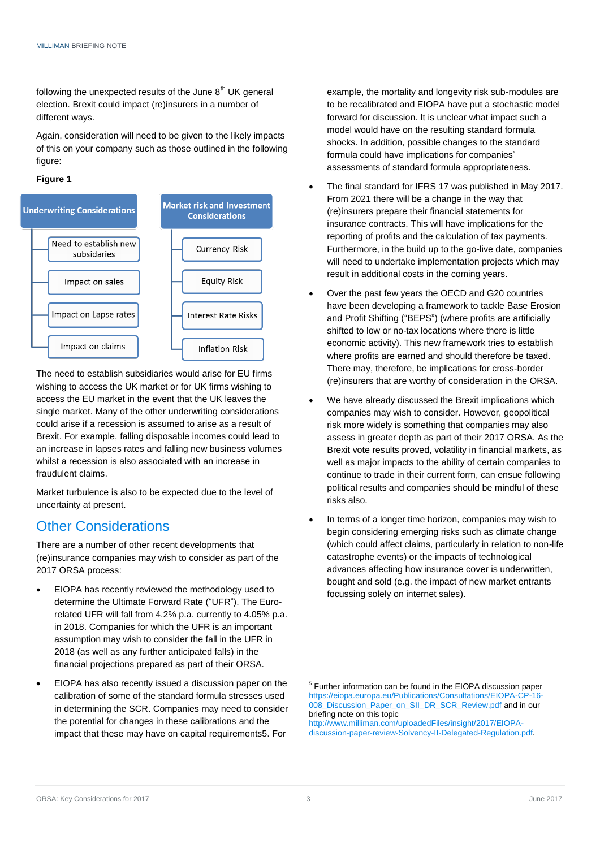following the unexpected results of the June  $8<sup>th</sup>$  UK general election. Brexit could impact (re)insurers in a number of different ways.

Again, consideration will need to be given to the likely impacts of this on your company such as those outlined in the following figure:





The need to establish subsidiaries would arise for EU firms wishing to access the UK market or for UK firms wishing to access the EU market in the event that the UK leaves the single market. Many of the other underwriting considerations could arise if a recession is assumed to arise as a result of Brexit. For example, falling disposable incomes could lead to an increase in lapses rates and falling new business volumes whilst a recession is also associated with an increase in fraudulent claims.

Market turbulence is also to be expected due to the level of uncertainty at present.

# Other Considerations

There are a number of other recent developments that (re)insurance companies may wish to consider as part of the 2017 ORSA process:

- EIOPA has recently reviewed the methodology used to determine the Ultimate Forward Rate ("UFR"). The Eurorelated UFR will fall from 4.2% p.a. currently to 4.05% p.a. in 2018. Companies for which the UFR is an important assumption may wish to consider the fall in the UFR in 2018 (as well as any further anticipated falls) in the financial projections prepared as part of their ORSA.
- EIOPA has also recently issued a discussion paper on the calibration of some of the standard formula stresses used in determining the SCR. Companies may need to consider the potential for changes in these calibrations and the impact that these may have on capital requirements5. For

example, the mortality and longevity risk sub-modules are to be recalibrated and EIOPA have put a stochastic model forward for discussion. It is unclear what impact such a model would have on the resulting standard formula shocks. In addition, possible changes to the standard formula could have implications for companies' assessments of standard formula appropriateness.

- The final standard for IFRS 17 was published in May 2017. From 2021 there will be a change in the way that (re)insurers prepare their financial statements for insurance contracts. This will have implications for the reporting of profits and the calculation of tax payments. Furthermore, in the build up to the go-live date, companies will need to undertake implementation projects which may result in additional costs in the coming years.
- Over the past few years the OECD and G20 countries have been developing a framework to tackle Base Erosion and Profit Shifting ("BEPS") (where profits are artificially shifted to low or no-tax locations where there is little economic activity). This new framework tries to establish where profits are earned and should therefore be taxed. There may, therefore, be implications for cross-border (re)insurers that are worthy of consideration in the ORSA.
- We have already discussed the Brexit implications which companies may wish to consider. However, geopolitical risk more widely is something that companies may also assess in greater depth as part of their 2017 ORSA. As the Brexit vote results proved, volatility in financial markets, as well as major impacts to the ability of certain companies to continue to trade in their current form, can ensue following political results and companies should be mindful of these risks also.
- In terms of a longer time horizon, companies may wish to begin considering emerging risks such as climate change (which could affect claims, particularly in relation to non-life catastrophe events) or the impacts of technological advances affecting how insurance cover is underwritten, bought and sold (e.g. the impact of new market entrants focussing solely on internet sales).

[http://www.milliman.com/uploadedFiles/insight/2017/EIOPA](http://www.milliman.com/uploadedFiles/insight/2017/EIOPA-discussion-paper-review-Solvency-II-Delegated-Regulation.pdf)[discussion-paper-review-Solvency-II-Delegated-Regulation.pdf.](http://www.milliman.com/uploadedFiles/insight/2017/EIOPA-discussion-paper-review-Solvency-II-Delegated-Regulation.pdf)

-

 5 Further information can be found in the EIOPA discussion paper [https://eiopa.europa.eu/Publications/Consultations/EIOPA-CP-16-](https://eiopa.europa.eu/Publications/Consultations/EIOPA-CP-16-008_Discussion_Paper_on_SII_DR_SCR_Review.pdf) [008\\_Discussion\\_Paper\\_on\\_SII\\_DR\\_SCR\\_Review.pdf](https://eiopa.europa.eu/Publications/Consultations/EIOPA-CP-16-008_Discussion_Paper_on_SII_DR_SCR_Review.pdf) and in our briefing note on this topic